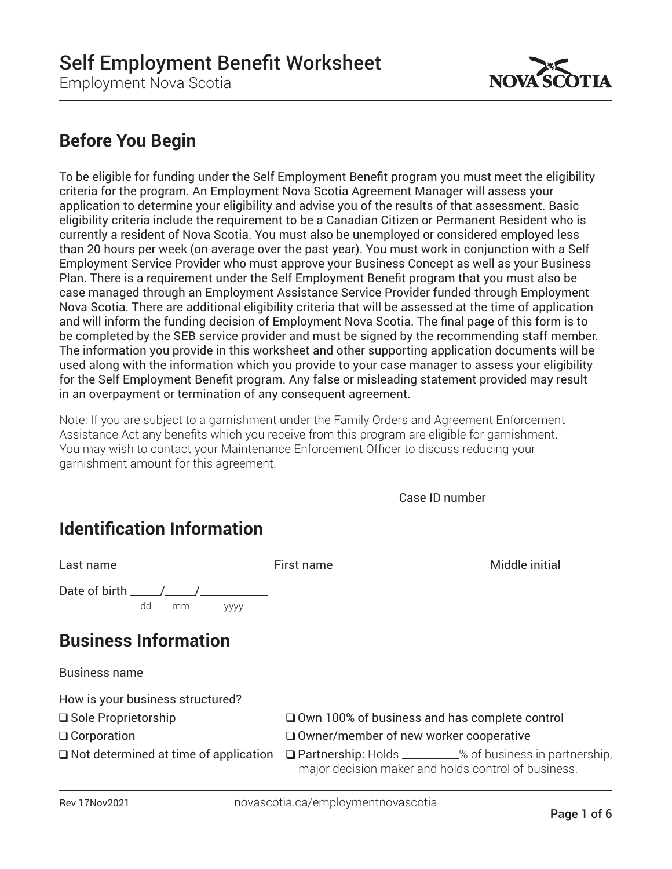

# **Before You Begin**

To be eligible for funding under the Self Employment Benefit program you must meet the eligibility criteria for the program. An Employment Nova Scotia Agreement Manager will assess your application to determine your eligibility and advise you of the results of that assessment. Basic eligibility criteria include the requirement to be a Canadian Citizen or Permanent Resident who is currently a resident of Nova Scotia. You must also be unemployed or considered employed less than 20 hours per week (on average over the past year). You must work in conjunction with a Self Employment Service Provider who must approve your Business Concept as well as your Business Plan. There is a requirement under the Self Employment Benefit program that you must also be case managed through an Employment Assistance Service Provider funded through Employment Nova Scotia. There are additional eligibility criteria that will be assessed at the time of application and will inform the funding decision of Employment Nova Scotia. The final page of this form is to be completed by the SEB service provider and must be signed by the recommending staff member. The information you provide in this worksheet and other supporting application documents will be used along with the information which you provide to your case manager to assess your eligibility for the Self Employment Benefit program. Any false or misleading statement provided may result in an overpayment or termination of any consequent agreement.

Note: If you are subject to a garnishment under the Family Orders and Agreement Enforcement Assistance Act any benefits which you receive from this program are eligible for garnishment. You may wish to contact your Maintenance Enforcement Officer to discuss reducing your garnishment amount for this agreement.

Case ID number

# **Identification Information**

| Date of birth $\frac{1}{\sqrt{1-\frac{1}{2}}}\left  \frac{1}{\sqrt{1-\frac{1}{2}}}\right $<br>dd<br>mm<br><b>YYYY</b> |                                                                                                                              |  |  |  |
|-----------------------------------------------------------------------------------------------------------------------|------------------------------------------------------------------------------------------------------------------------------|--|--|--|
| <b>Business Information</b>                                                                                           |                                                                                                                              |  |  |  |
|                                                                                                                       |                                                                                                                              |  |  |  |
| How is your business structured?                                                                                      |                                                                                                                              |  |  |  |
| $\Box$ Sole Proprietorship                                                                                            | $\square$ Own 100% of business and has complete control                                                                      |  |  |  |
| $\Box$ Corporation                                                                                                    | $\Box$ Owner/member of new worker cooperative                                                                                |  |  |  |
| $\Box$ Not determined at time of application                                                                          | <b>□ Partnership:</b> Holds ____________% of business in partnership,<br>major decision maker and holds control of business. |  |  |  |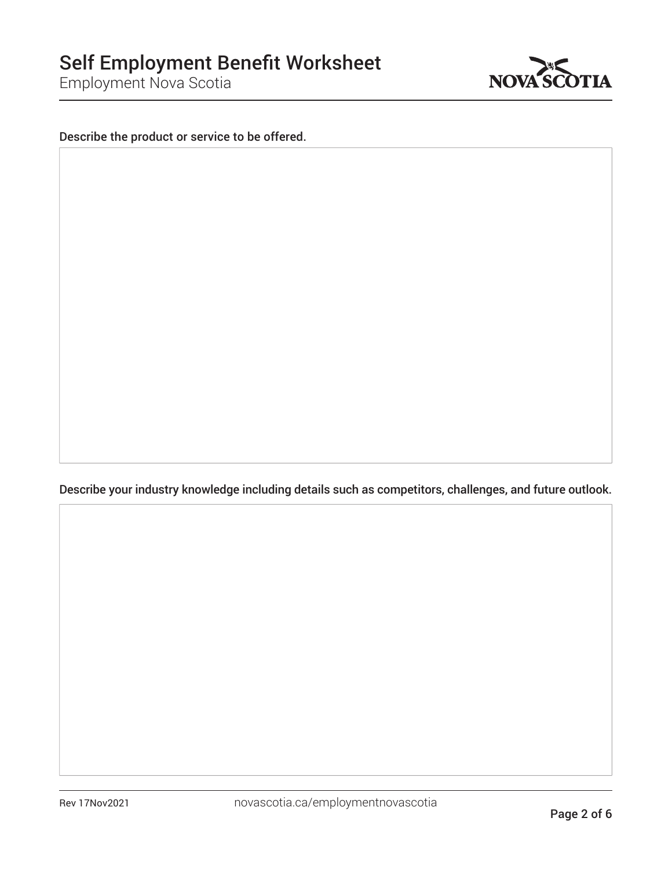

#### Describe the product or service to be offered.

Describe your industry knowledge including details such as competitors, challenges, and future outlook.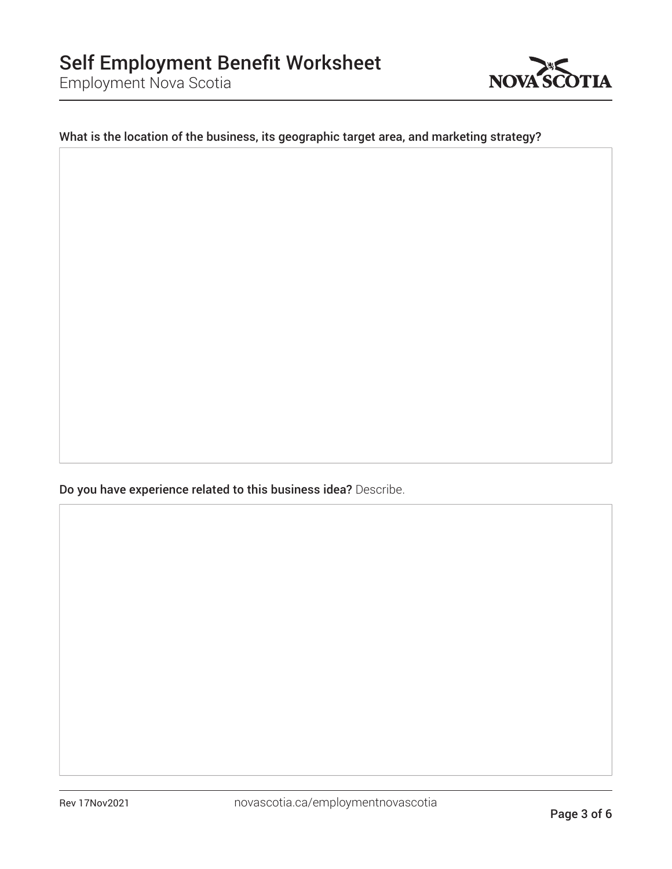

## What is the location of the business, its geographic target area, and marketing strategy?

Do you have experience related to this business idea? Describe.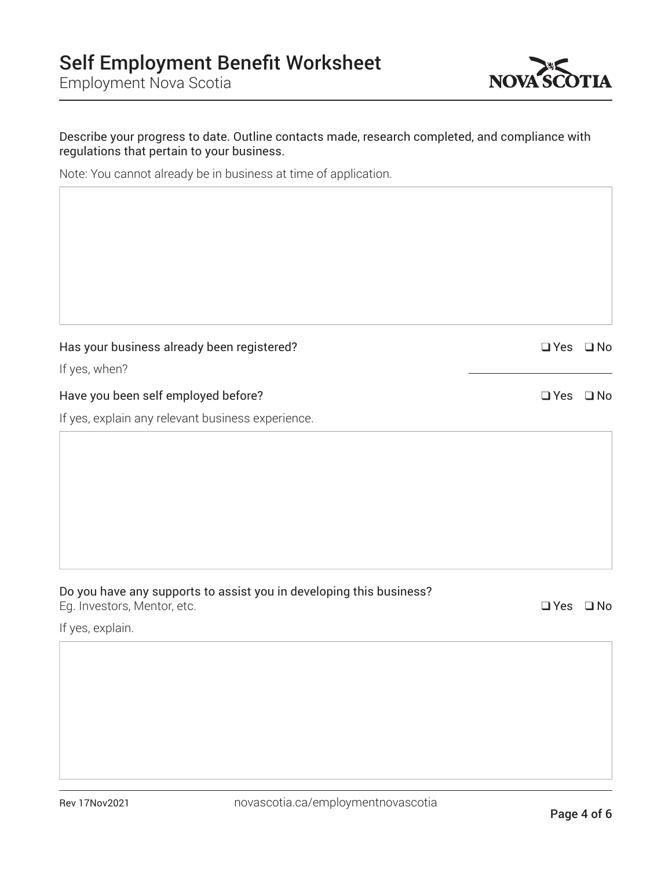

Employment Nova Scotia

#### Describe your progress to date. Outline contacts made, research completed, and compliance with regulations that pertain to your business.

Note: You cannot already be in business at time of application.

### Has your business already been registered?  $\Box$  Yes  $\Box$  No

If yes, when?

#### Have you been self employed before?  $\Box$  Yes  $\Box$  No

If yes, explain any relevant business experience.

## Do you have any supports to assist you in developing this business? Eq. Investors, Mentor, etc.  $\Box$  Yes  $\Box$  No

If yes, explain.

Rev 17Nov2021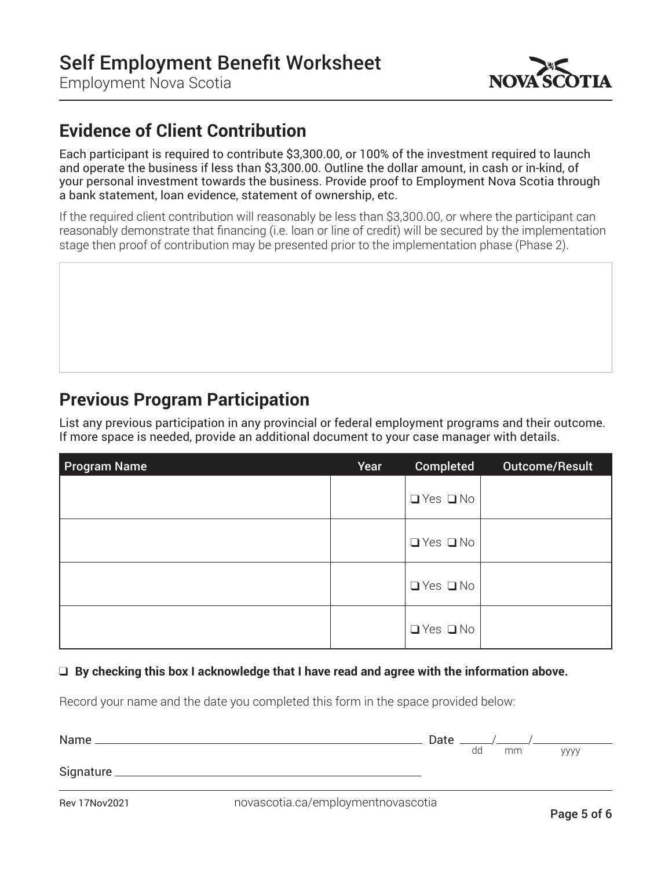

## **Evidence of Client Contribution**

Each participant is required to contribute \$3,300.00, or 100% of the investment required to launch and operate the business if less than \$3,300.00. Outline the dollar amount, in cash or in-kind, of your personal investment towards the business. Provide proof to Employment Nova Scotia through a bank statement, loan evidence, statement of ownership, etc.

If the required client contribution will reasonably be less than \$3,300.00, or where the participant can reasonably demonstrate that financing (i.e. loan or line of credit) will be secured by the implementation stage then proof of contribution may be presented prior to the implementation phase (Phase 2).

## **Previous Program Participation**

List any previous participation in any provincial or federal employment programs and their outcome. If more space is needed, provide an additional document to your case manager with details.

| <b>Program Name</b> | Year | Completed            | <b>Outcome/Result</b> |
|---------------------|------|----------------------|-----------------------|
|                     |      | $\Box$ Yes $\Box$ No |                       |
|                     |      | $\Box$ Yes $\Box$ No |                       |
|                     |      | $\Box$ Yes $\Box$ No |                       |
|                     |      | $\Box$ Yes $\Box$ No |                       |

### **By checking this box I acknowledge that I have read and agree with the information above.**

Record your name and the date you completed this form in the space provided below:

|                                |                                  | Date $\overline{\phantom{a}}$ |    |    |             |
|--------------------------------|----------------------------------|-------------------------------|----|----|-------------|
|                                |                                  |                               | dd | mm | <b>VVVV</b> |
| Signature_                     |                                  |                               |    |    |             |
| <b>D<sub>av</sub>17Mav2021</b> | novecotio co/omploymontpovecotio |                               |    |    |             |